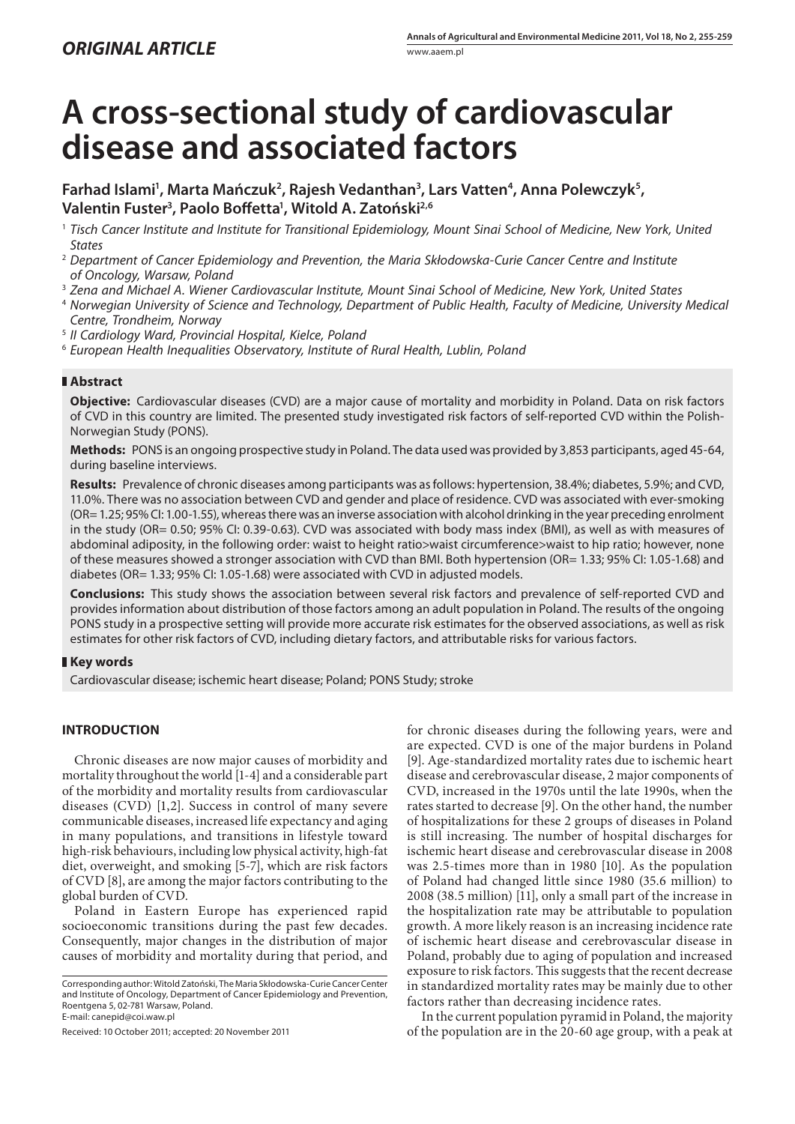# **A cross-sectional study of cardiovascular disease and associated factors**

**Farhad Islami1 , Marta Mańczuk2 , Rajesh Vedanthan3 , Lars Vatten4 , Anna Polewczyk5 , Valentin Fuster3 , Paolo Boff etta1 , Witold A. Zatoński2,6**

- <sup>1</sup>Tisch Cancer Institute and Institute for Transitional Epidemiology, Mount Sinai School of Medicine, New York, United **States**
- <sup>2</sup> Department of Cancer Epidemiology and Prevention, the Maria Skłodowska-Curie Cancer Centre and Institute of Oncology, Warsaw, Poland
- <sup>3</sup> Zena and Michael A. Wiener Cardiovascular Institute, Mount Sinai School of Medicine, New York, United States
- <sup>4</sup> Norwegian University of Science and Technology, Department of Public Health, Faculty of Medicine, University Medical Centre, Trondheim, Norway
- <sup>5</sup> II Cardiology Ward, Provincial Hospital, Kielce, Poland
- <sup>6</sup> European Health Inequalities Observatory, Institute of Rural Health, Lublin, Poland

## **Abstract**

**Objective:** Cardiovascular diseases (CVD) are a major cause of mortality and morbidity in Poland. Data on risk factors of CVD in this country are limited. The presented study investigated risk factors of self-reported CVD within the Polish-Norwegian Study (PONS).

**Methods:** PONS is an ongoing prospective study in Poland. The data used was provided by 3,853 participants, aged 45-64, during baseline interviews.

**Results:** Prevalence of chronic diseases among participants was as follows: hypertension, 38.4%; diabetes, 5.9%; and CVD, 11.0%. There was no association between CVD and gender and place of residence. CVD was associated with ever-smoking (OR= 1.25; 95% CI: 1.00-1.55), whereas there was an inverse association with alcohol drinking in the year preceding enrolment in the study (OR= 0.50; 95% CI: 0.39-0.63). CVD was associated with body mass index (BMI), as well as with measures of abdominal adiposity, in the following order: waist to height ratio>waist circumference>waist to hip ratio; however, none of these measures showed a stronger association with CVD than BMI. Both hypertension (OR= 1.33; 95% CI: 1.05-1.68) and diabetes (OR= 1.33; 95% CI: 1.05-1.68) were associated with CVD in adjusted models.

**Conclusions:** This study shows the association between several risk factors and prevalence of self-reported CVD and provides information about distribution of those factors among an adult population in Poland. The results of the ongoing PONS study in a prospective setting will provide more accurate risk estimates for the observed associations, as well as risk estimates for other risk factors of CVD, including dietary factors, and attributable risks for various factors.

## **Key words**

Cardiovascular disease; ischemic heart disease; Poland; PONS Study; stroke

## **INTRODUCTION**

Chronic diseases are now major causes of morbidity and mortality throughout the world [1-4] and a considerable part of the morbidity and mortality results from cardiovascular diseases (CVD) [1,2]. Success in control of many severe communicable diseases, increased life expectancy and aging in many populations, and transitions in lifestyle toward high-risk behaviours, including low physical activity, high-fat diet, overweight, and smoking [5-7], which are risk factors of CVD [8], are among the major factors contributing to the global burden of CVD.

Poland in Eastern Europe has experienced rapid socioeconomic transitions during the past few decades. Consequently, major changes in the distribution of major causes of morbidity and mortality during that period, and

Received: 10 October 2011; accepted: 20 November 2011

for chronic diseases during the following years, were and are expected. CVD is one of the major burdens in Poland [9]. Age-standardized mortality rates due to ischemic heart disease and cerebrovascular disease, 2 major components of CVD, increased in the 1970s until the late 1990s, when the rates started to decrease [9]. On the other hand, the number of hospitalizations for these 2 groups of diseases in Poland is still increasing. The number of hospital discharges for ischemic heart disease and cerebrovascular disease in 2008 was 2.5-times more than in 1980 [10]. As the population of Poland had changed little since 1980 (35.6 million) to 2008 (38.5 million) [11], only a small part of the increase in the hospitalization rate may be attributable to population growth. A more likely reason is an increasing incidence rate of ischemic heart disease and cerebrovascular disease in Poland, probably due to aging of population and increased exposure to risk factors. This suggests that the recent decrease in standardized mortality rates may be mainly due to other factors rather than decreasing incidence rates.

 In the current population pyramid in Poland, the majority of the population are in the 20-60 age group, with a peak at

Corresponding author: Witold Zatoński, The Maria Skłodowska-Curie Cancer Center and Institute of Oncology, Department of Cancer Epidemiology and Prevention, Roentgena 5, 02-781 Warsaw, Poland. E-mail: canepid@coi.waw.pl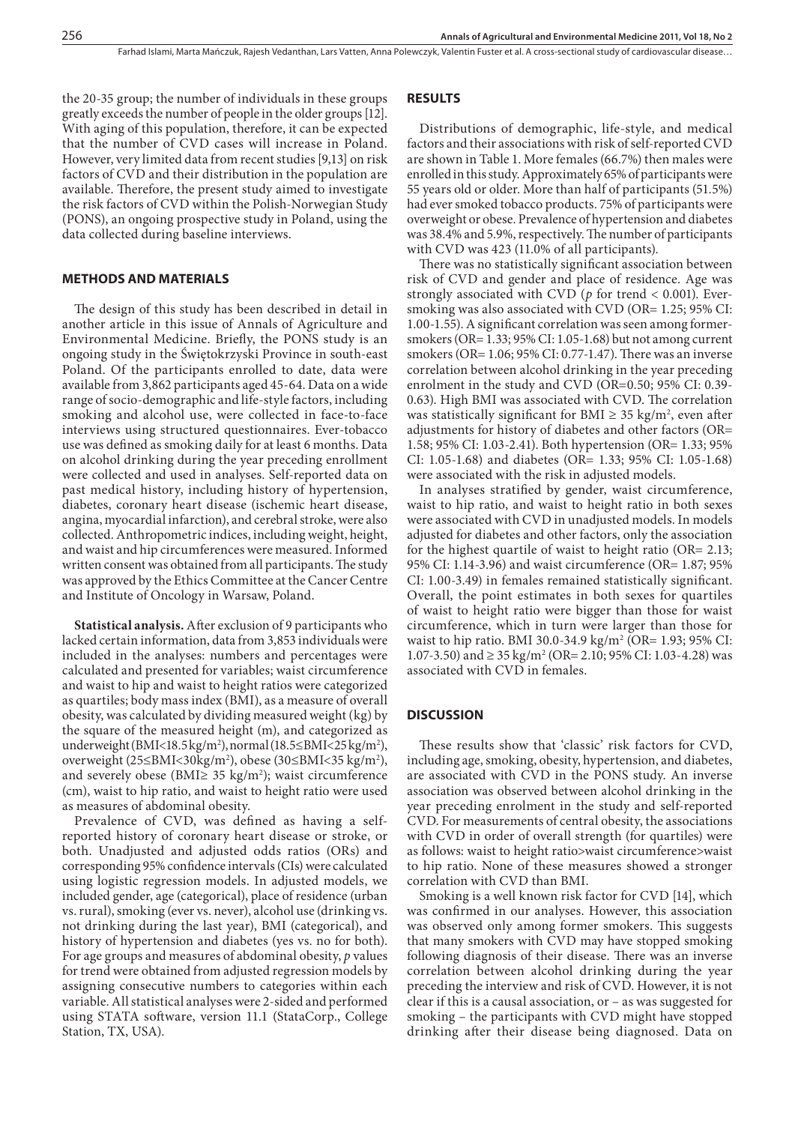the 20-35 group; the number of individuals in these groups greatly exceeds the number of people in the older groups [12]. With aging of this population, therefore, it can be expected that the number of CVD cases will increase in Poland. However, very limited data from recent studies [9,13] on risk factors of CVD and their distribution in the population are available. Therefore, the present study aimed to investigate the risk factors of CVD within the Polish-Norwegian Study (PONS), an ongoing prospective study in Poland, using the data collected during baseline interviews.

#### **METHODS AND MATERIALS**

The design of this study has been described in detail in another article in this issue of Annals of Agriculture and Environmental Medicine. Briefly, the PONS study is an ongoing study in the Świętokrzyski Province in south-east Poland. Of the participants enrolled to date, data were available from 3,862 participants aged 45-64. Data on a wide range of socio-demographic and life-style factors, including smoking and alcohol use, were collected in face-to-face interviews using structured questionnaires. Ever-tobacco use was defined as smoking daily for at least 6 months. Data on alcohol drinking during the year preceding enrollment were collected and used in analyses. Self-reported data on past medical history, including history of hypertension, diabetes, coronary heart disease (ischemic heart disease, angina, myocardial infarction), and cerebral stroke, were also collected. Anthropometric indices, including weight, height, and waist and hip circumferences were measured. Informed written consent was obtained from all participants. The study was approved by the Ethics Committee at the Cancer Centre and Institute of Oncology in Warsaw, Poland.

**Statistical analysis.** After exclusion of 9 participants who lacked certain information, data from 3,853 individuals were included in the analyses: numbers and percentages were calculated and presented for variables; waist circumference and waist to hip and waist to height ratios were categorized as quartiles; body mass index (BMI), as a measure of overall obesity, was calculated by dividing measured weight (kg) by the square of the measured height (m), and categorized as underweight (BMI<18.5 kg/m<sup>2</sup>), normal (18.5≤BMI<25 kg/m<sup>2</sup>), overweight (25≤BMI<30kg/m2 ), obese (30≤BMI<35 kg/m2 ), and severely obese (BMI≥ 35 kg/m<sup>2</sup>); waist circumference (cm), waist to hip ratio, and waist to height ratio were used as measures of abdominal obesity.

Prevalence of CVD, was defined as having a selfreported history of coronary heart disease or stroke, or both. Unadjusted and adjusted odds ratios (ORs) and corresponding 95% confidence intervals (CIs) were calculated using logistic regression models. In adjusted models, we included gender, age (categorical), place of residence (urban vs. rural), smoking (ever vs. never), alcohol use (drinking vs. not drinking during the last year), BMI (categorical), and history of hypertension and diabetes (yes vs. no for both). For age groups and measures of abdominal obesity, *p* values for trend were obtained from adjusted regression models by assigning consecutive numbers to categories within each variable. All statistical analyses were 2-sided and performed using STATA software, version 11.1 (StataCorp., College Station, TX, USA).

## **RESULTS**

Distributions of demographic, life-style, and medical factors and their associations with risk of self-reported CVD are shown in Table 1. More females (66.7%) then males were enrolled in this study. Approximately 65% of participants were 55 years old or older. More than half of participants (51.5%) had ever smoked tobacco products. 75% of participants were overweight or obese. Prevalence of hypertension and diabetes was 38.4% and 5.9%, respectively. The number of participants with CVD was 423 (11.0% of all participants).

There was no statistically significant association between risk of CVD and gender and place of residence. Age was strongly associated with CVD (*p* for trend < 0.001). Eversmoking was also associated with CVD (OR= 1.25; 95% CI: 1.00-1.55). A significant correlation was seen among formersmokers (OR= 1.33; 95% CI: 1.05-1.68) but not among current smokers (OR=  $1.06$ ;  $95\%$  CI:  $0.77$ - $1.47$ ). There was an inverse correlation between alcohol drinking in the year preceding enrolment in the study and CVD (OR=0.50; 95% CI: 0.39- 0.63). High BMI was associated with CVD. The correlation was statistically significant for BMI  $\geq$  35 kg/m<sup>2</sup>, even after adjustments for history of diabetes and other factors (OR= 1.58; 95% CI: 1.03-2.41). Both hypertension (OR= 1.33; 95% CI: 1.05-1.68) and diabetes (OR= 1.33; 95% CI: 1.05-1.68) were associated with the risk in adjusted models.

In analyses stratified by gender, waist circumference, waist to hip ratio, and waist to height ratio in both sexes were associated with CVD in unadjusted models. In models adjusted for diabetes and other factors, only the association for the highest quartile of waist to height ratio (OR= 2.13; 95% CI: 1.14-3.96) and waist circumference (OR= 1.87; 95% CI: 1.00-3.49) in females remained statistically significant. Overall, the point estimates in both sexes for quartiles of waist to height ratio were bigger than those for waist circumference, which in turn were larger than those for waist to hip ratio. BMI 30.0-34.9 kg/m<sup>2</sup> (OR= 1.93; 95% CI: 1.07-3.50) and ≥ 35 kg/m<sup>2</sup> (OR= 2.10; 95% CI: 1.03-4.28) was associated with CVD in females.

### **DISCUSSION**

These results show that 'classic' risk factors for CVD, including age, smoking, obesity, hypertension, and diabetes, are associated with CVD in the PONS study. An inverse association was observed between alcohol drinking in the year preceding enrolment in the study and self-reported CVD. For measurements of central obesity, the associations with CVD in order of overall strength (for quartiles) were as follows: waist to height ratio>waist circumference>waist to hip ratio. None of these measures showed a stronger correlation with CVD than BMI.

Smoking is a well known risk factor for CVD [14], which was confirmed in our analyses. However, this association was observed only among former smokers. This suggests that many smokers with CVD may have stopped smoking following diagnosis of their disease. There was an inverse correlation between alcohol drinking during the year preceding the interview and risk of CVD. However, it is not clear if this is a causal association, or – as was suggested for smoking – the participants with CVD might have stopped drinking after their disease being diagnosed. Data on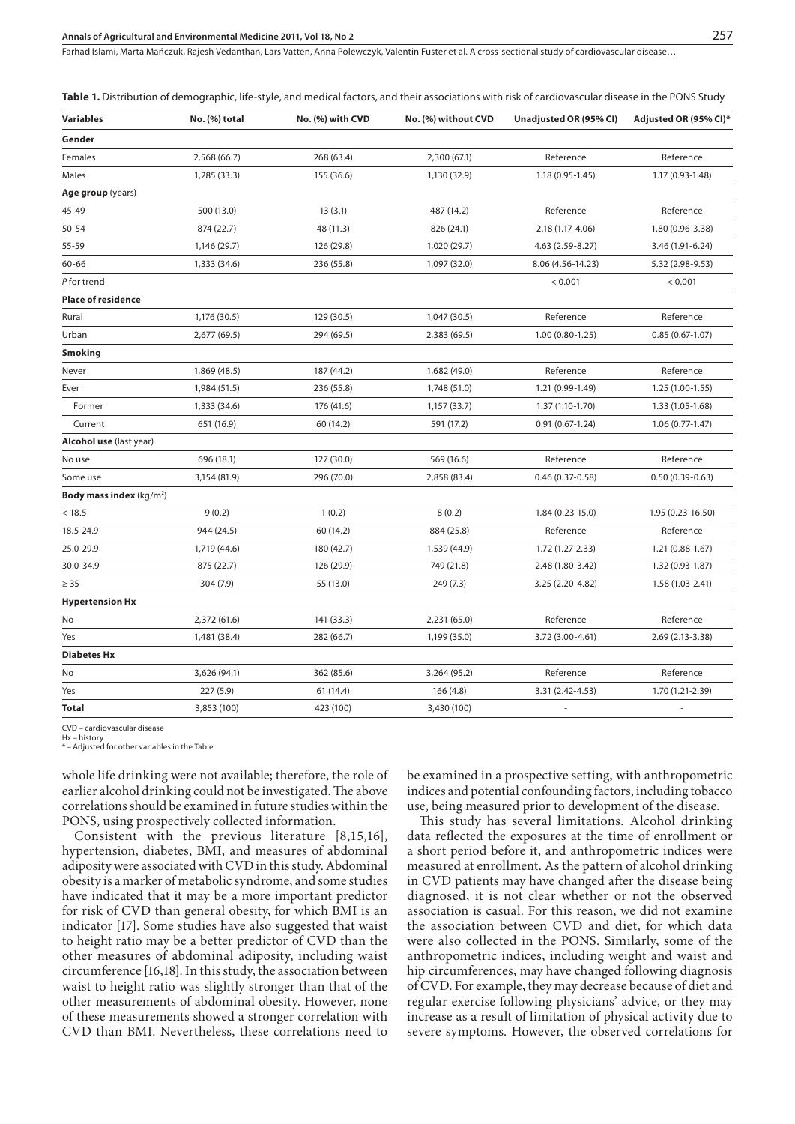#### **Annals of Agricultural and Environmental Medicine 2011, Vol 18, No 2** 257

Farhad Islami, Marta Mańczuk, Rajesh Vedanthan, Lars Vatten, Anna Polewczyk, Valentin Fuster et al. A cross-sectional study of cardiovascular disease…

Table 1. Distribution of demographic, life-style, and medical factors, and their associations with risk of cardiovascular disease in the PONS Study

| <b>Variables</b>                     | No. (%) total | No. (%) with CVD | No. (%) without CVD | Unadjusted OR (95% CI)   | Adjusted OR (95% CI)*    |
|--------------------------------------|---------------|------------------|---------------------|--------------------------|--------------------------|
| Gender                               |               |                  |                     |                          |                          |
| Females                              | 2,568 (66.7)  | 268 (63.4)       | 2,300 (67.1)        | Reference                | Reference                |
| Males                                | 1,285 (33.3)  | 155 (36.6)       | 1,130 (32.9)        | $1.18(0.95 - 1.45)$      | 1.17 (0.93-1.48)         |
| Age group (years)                    |               |                  |                     |                          |                          |
| 45-49                                | 500 (13.0)    | 13(3.1)          | 487 (14.2)          | Reference                | Reference                |
| $50 - 54$                            | 874 (22.7)    | 48 (11.3)        | 826 (24.1)          | 2.18 (1.17-4.06)         | 1.80 (0.96-3.38)         |
| 55-59                                | 1,146 (29.7)  | 126 (29.8)       | 1,020 (29.7)        | 4.63 (2.59-8.27)         | 3.46 (1.91-6.24)         |
| 60-66                                | 1,333 (34.6)  | 236 (55.8)       | 1,097 (32.0)        | 8.06 (4.56-14.23)        | 5.32 (2.98-9.53)         |
| P for trend                          |               |                  |                     | < 0.001                  | < 0.001                  |
| <b>Place of residence</b>            |               |                  |                     |                          |                          |
| Rural                                | 1,176 (30.5)  | 129 (30.5)       | 1,047 (30.5)        | Reference                | Reference                |
| Urban                                | 2,677 (69.5)  | 294 (69.5)       | 2,383 (69.5)        | $1.00(0.80 - 1.25)$      | $0.85(0.67-1.07)$        |
| <b>Smoking</b>                       |               |                  |                     |                          |                          |
| Never                                | 1,869 (48.5)  | 187 (44.2)       | 1,682 (49.0)        | Reference                | Reference                |
| Ever                                 | 1,984 (51.5)  | 236 (55.8)       | 1,748 (51.0)        | 1.21 (0.99-1.49)         | $1.25(1.00-1.55)$        |
| Former                               | 1,333 (34.6)  | 176 (41.6)       | 1,157 (33.7)        | $1.37(1.10-1.70)$        | 1.33 (1.05-1.68)         |
| Current                              | 651 (16.9)    | 60 (14.2)        | 591 (17.2)          | $0.91(0.67-1.24)$        | $1.06(0.77-1.47)$        |
| Alcohol use (last year)              |               |                  |                     |                          |                          |
| No use                               | 696 (18.1)    | 127 (30.0)       | 569 (16.6)          | Reference                | Reference                |
| Some use                             | 3,154 (81.9)  | 296 (70.0)       | 2,858 (83.4)        | $0.46(0.37-0.58)$        | $0.50(0.39 - 0.63)$      |
| Body mass index (kg/m <sup>2</sup> ) |               |                  |                     |                          |                          |
| < 18.5                               | 9(0.2)        | 1(0.2)           | 8(0.2)              | 1.84 (0.23-15.0)         | 1.95 (0.23-16.50)        |
| 18.5-24.9                            | 944 (24.5)    | 60 (14.2)        | 884 (25.8)          | Reference                | Reference                |
| 25.0-29.9                            | 1,719 (44.6)  | 180 (42.7)       | 1,539 (44.9)        | 1.72 (1.27-2.33)         | $1.21(0.88-1.67)$        |
| 30.0-34.9                            | 875 (22.7)    | 126 (29.9)       | 749 (21.8)          | 2.48 (1.80-3.42)         | 1.32 (0.93-1.87)         |
| $\geq$ 35                            | 304 (7.9)     | 55 (13.0)        | 249 (7.3)           | 3.25 (2.20-4.82)         | 1.58 (1.03-2.41)         |
| <b>Hypertension Hx</b>               |               |                  |                     |                          |                          |
| No                                   | 2,372 (61.6)  | 141 (33.3)       | 2,231 (65.0)        | Reference                | Reference                |
| Yes                                  | 1,481 (38.4)  | 282 (66.7)       | 1,199 (35.0)        | 3.72 (3.00-4.61)         | 2.69 (2.13-3.38)         |
| <b>Diabetes Hx</b>                   |               |                  |                     |                          |                          |
| No                                   | 3,626 (94.1)  | 362 (85.6)       | 3,264 (95.2)        | Reference                | Reference                |
| Yes                                  | 227(5.9)      | 61 (14.4)        | 166(4.8)            | 3.31 (2.42-4.53)         | 1.70 (1.21-2.39)         |
| Total                                | 3,853 (100)   | 423 (100)        | 3,430 (100)         | $\overline{\phantom{a}}$ | $\overline{\phantom{a}}$ |

CVD – cardiovascular disease

Hx – history

\* – Adjusted for other variables in the Table

whole life drinking were not available; therefore, the role of earlier alcohol drinking could not be investigated. The above correlations should be examined in future studies within the PONS, using prospectively collected information.

Consistent with the previous literature [8,15,16], hypertension, diabetes, BMI, and measures of abdominal adiposity were associated with CVD in this study. Abdominal obesity is a marker of metabolic syndrome, and some studies have indicated that it may be a more important predictor for risk of CVD than general obesity, for which BMI is an indicator [17]. Some studies have also suggested that waist to height ratio may be a better predictor of CVD than the other measures of abdominal adiposity, including waist circumference [16,18]. In this study, the association between waist to height ratio was slightly stronger than that of the other measurements of abdominal obesity. However, none of these measurements showed a stronger correlation with CVD than BMI. Nevertheless, these correlations need to

be examined in a prospective setting, with anthropometric indices and potential confounding factors, including tobacco use, being measured prior to development of the disease.

This study has several limitations. Alcohol drinking data reflected the exposures at the time of enrollment or a short period before it, and anthropometric indices were measured at enrollment. As the pattern of alcohol drinking in CVD patients may have changed after the disease being diagnosed, it is not clear whether or not the observed association is casual. For this reason, we did not examine the association between CVD and diet, for which data were also collected in the PONS. Similarly, some of the anthropometric indices, including weight and waist and hip circumferences, may have changed following diagnosis of CVD. For example, they may decrease because of diet and regular exercise following physicians' advice, or they may increase as a result of limitation of physical activity due to severe symptoms. However, the observed correlations for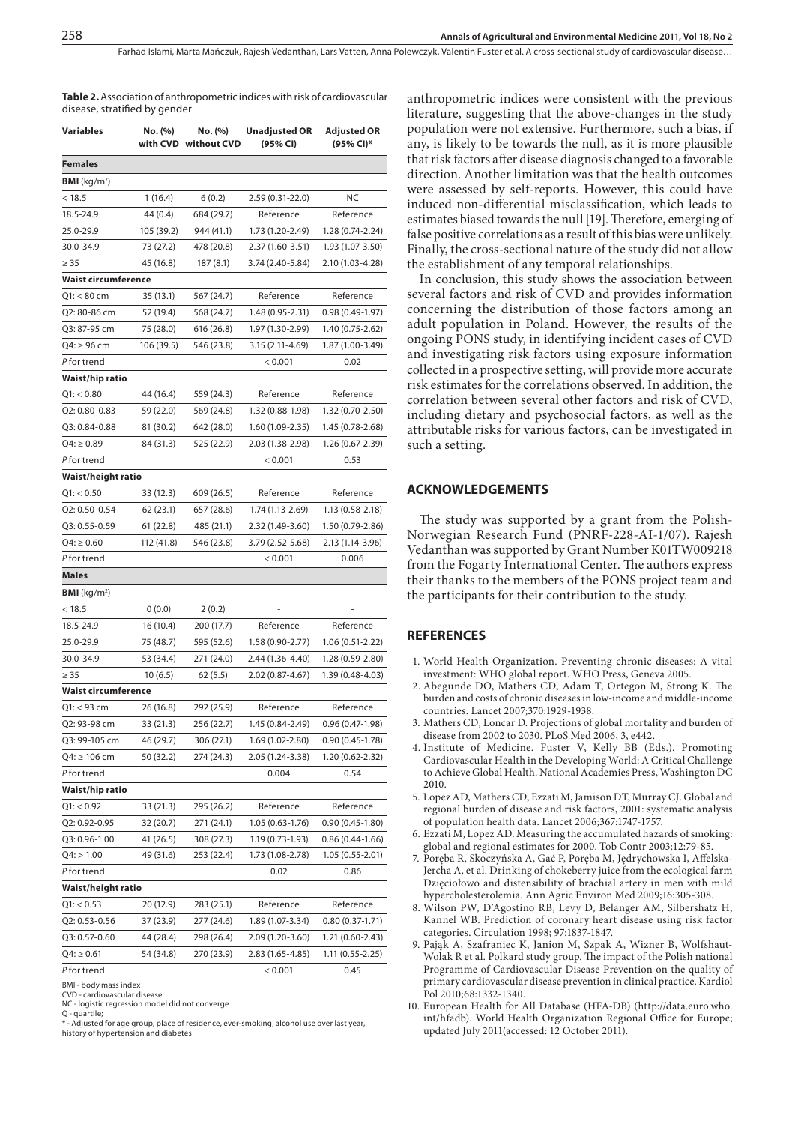Farhad Islami, Marta Mańczuk, Rajesh Vedanthan, Lars Vatten, Anna Polewczyk, Valentin Fuster et al. A cross-sectional study of cardiovascular disease…

| Table 2. Association of anthropometric indices with risk of cardiovascular |
|----------------------------------------------------------------------------|
| disease, stratified by gender                                              |

| Variables                 | No. (%)<br>with CVD    | No. (%)<br>without CVD   | <b>Unadjusted OR</b><br>(95% CI) | Adjusted OR<br>(95% CI)* |
|---------------------------|------------------------|--------------------------|----------------------------------|--------------------------|
| Females                   |                        |                          |                                  |                          |
| <b>BMI</b> ( $kg/m2$ )    |                        |                          |                                  |                          |
| < 18.5                    | 1(16.4)                | 6(0.2)                   | 2.59 (0.31-22.0)                 | ΝC                       |
| 18.5-24.9                 | 44 (0.4)               | 684 (29.7)               | Reference                        | Reference                |
| 25.0-29.9                 | 105 (39.2)             | 944 (41.1)               | 1.73 (1.20-2.49)                 | 1.28 (0.74-2.24)         |
| 30.0-34.9                 | 73 (27.2)              | 478 (20.8)               | 2.37 (1.60-3.51)                 | 1.93 (1.07-3.50)         |
| $\geq 35$                 | 45 (16.8)              | 187 (8.1)                | 3.74 (2.40-5.84)                 | 2.10 (1.03-4.28)         |
| Waist circumference       |                        |                          |                                  |                          |
| Q1: < 80 cm               | 35 (13.1)              | 567 (24.7)               | Reference                        | Reference                |
| Q2: 80-86 cm              | 52 (19.4)              | 568 (24.7)               | 1.48 (0.95-2.31)                 | $0.98(0.49-1.97)$        |
| Q3: 87-95 cm              | 75 (28.0)              | 616 (26.8)               | 1.97 (1.30-2.99)                 | 1.40 (0.75-2.62)         |
| Q4: ≥ 96 cm               | 106 (39.5)             | 546 (23.8)               | 3.15 (2.11-4.69)                 | 1.87 (1.00-3.49)         |
| P for trend               |                        |                          | < 0.001                          | 0.02                     |
| Waist/hip ratio           |                        |                          |                                  |                          |
| Q1: < 0.80                | 44 (16.4)              | 559 (24.3)               | Reference                        | Reference                |
| Q2: 0.80-0.83             | 59 (22.0)              | 569 (24.8)               | 1.32 (0.88-1.98)                 | 1.32 (0.70-2.50)         |
| Q3: 0.84-0.88             | 81 (30.2)              | 642 (28.0)               | 1.60 (1.09-2.35)                 | 1.45 (0.78-2.68)         |
| $Q4: \geq 0.89$           | 84 (31.3)              | 525 (22.9)               | 2.03 (1.38-2.98)                 | 1.26 (0.67-2.39)         |
| P for trend               |                        |                          | < 0.001                          | 0.53                     |
| Waist/height ratio        |                        |                          |                                  |                          |
| Q1: < 0.50                | 33 (12.3)              | 609 (26.5)               | Reference                        | Reference                |
| Q2: 0.50-0.54             | 62 (23.1)              | 657 (28.6)               | 1.74 (1.13-2.69)                 | 1.13 (0.58-2.18)         |
| Q3: 0.55-0.59             | 61 (22.8)              | 485 (21.1)               | 2.32 (1.49-3.60)                 | 1.50 (0.79-2.86)         |
| $Q4: \geq 0.60$           | 112 (41.8)             | 546 (23.8)               | 3.79 (2.52-5.68)                 | 2.13 (1.14-3.96)         |
| P for trend               |                        |                          | < 0.001                          | 0.006                    |
| Males                     |                        |                          |                                  |                          |
| <b>BMI</b> ( $kg/m2$ )    |                        |                          |                                  |                          |
| < 18.5                    | 0(0.0)                 | 2 (0.2)                  |                                  |                          |
| 18.5-24.9                 | 16 (10.4)              | 200 (17.7)               | Reference                        | Reference                |
| 25.0-29.9                 | 75 (48.7)              | 595 (52.6)               | 1.58 (0.90-2.77)                 | 1.06 (0.51-2.22)         |
| 30.0-34.9                 | 53 (34.4)              | 271 (24.0)               | 2.44 (1.36-4.40)                 | 1.28 (0.59-2.80)         |
| $\geq 35$                 | 10(6.5)                | 62 (5.5)                 | 2.02 (0.87-4.67)                 | 1.39 (0.48-4.03)         |
| Waist circumference       |                        |                          |                                  |                          |
| $Q1: < 93$ cm             | 26 (16.8)              | 292 (25.9)               | Reference                        | Reference                |
| Q2: 93-98 cm              | 33 (21.3)              | 256 (22.7)               | 1.45 (0.84-2.49)                 | $0.96(0.47-1.98)$        |
| Q3: 99-105 cm             | 46 (29.7)              | 306 (27.1)               | 1.69 (1.02-2.80)                 | 0.90 (0.45-1.78)         |
| Q4: ≥ 106 cm              | 50 (32.2)              | 274 (24.3)               | 2.05 (1.24-3.38)                 | 1.20 (0.62-2.32)         |
| P for trend               |                        |                          | 0.004                            | 0.54                     |
| Waist/hip ratio           |                        |                          |                                  |                          |
| Q1: < 0.92                | 33 (21.3)              | 295 (26.2)               | Reference                        | Reference                |
| Q2: 0.92-0.95             | 32 (20.7)              | 271 (24.1)               | 1.05 (0.63-1.76)                 | $0.90(0.45 - 1.80)$      |
| Q3: 0.96-1.00             |                        |                          |                                  |                          |
|                           | 41 (26.5)<br>49 (31.6) | 308 (27.3)<br>253 (22.4) | 1.19 (0.73-1.93)                 | $0.86(0.44-1.66)$        |
| Q4: > 1.00<br>P for trend |                        |                          | 1.73 (1.08-2.78)<br>0.02         | 1.05 (0.55-2.01)         |
|                           |                        |                          |                                  | 0.86                     |
| Waist/height ratio        |                        |                          |                                  |                          |
| Q1: < 0.53                | 20 (12.9)              | 283 (25.1)               | Reference                        | Reference                |
| Q2: 0.53-0.56             | 37 (23.9)              | 277 (24.6)               | 1.89 (1.07-3.34)                 | $0.80(0.37-1.71)$        |
| Q3: 0.57-0.60             | 44 (28.4)              | 298 (26.4)               | 2.09 (1.20-3.60)                 | 1.21 (0.60-2.43)         |
| $Q4: \ge 0.61$            | 54 (34.8)              | 270 (23.9)               | 2.83 (1.65-4.85)                 | 1.11 (0.55-2.25)         |
| P for trend               |                        |                          | < 0.001                          | 0.45                     |

BMI - body mass inde:

CVD - cardiovascular disease NC - logistic regression model did not converge

Q - quartile;<br>\* - Adjusted for age group, place of residence, ever-smoking, alcohol use over last year, history of hypertension and diabete

anthropometric indices were consistent with the previous literature, suggesting that the above-changes in the study population were not extensive. Furthermore, such a bias, if any, is likely to be towards the null, as it is more plausible that risk factors after disease diagnosis changed to a favorable direction. Another limitation was that the health outcomes were assessed by self-reports. However, this could have induced non-differential misclassification, which leads to estimates biased towards the null [19]. Therefore, emerging of false positive correlations as a result of this bias were unlikely. Finally, the cross-sectional nature of the study did not allow the establishment of any temporal relationships.

In conclusion, this study shows the association between several factors and risk of CVD and provides information concerning the distribution of those factors among an adult population in Poland. However, the results of the ongoing PONS study, in identifying incident cases of CVD and investigating risk factors using exposure information collected in a prospective setting, will provide more accurate risk estimates for the correlations observed. In addition, the correlation between several other factors and risk of CVD, including dietary and psychosocial factors, as well as the attributable risks for various factors, can be investigated in such a setting.

#### **ACKNOWLEDGEMENTS**

The study was supported by a grant from the Polish-Norwegian Research Fund (PNRF-228-AI-1/07). Rajesh Vedanthan was supported by Grant Number K01TW009218 from the Fogarty International Center. The authors express their thanks to the members of the PONS project team and the participants for their contribution to the study.

#### **REFERENCES**

- 1. World Health Organization. Preventing chronic diseases: A vital investment: WHO global report. WHO Press, Geneva 2005.
- 2. Abegunde DO, Mathers CD, Adam T, Ortegon M, Strong K. The burden and costs of chronic diseases in low-income and middle-income countries. Lancet 2007;370:1929-1938.
- 3. Mathers CD, Loncar D. Projections of global mortality and burden of disease from 2002 to 2030. PLoS Med 2006, 3, e442.
- 4. Institute of Medicine. Fuster V, Kelly BB (Eds.). Promoting Cardiovascular Health in the Developing World: A Critical Challenge to Achieve Global Health. National Academies Press, Washington DC 2010.
- 5. Lopez AD, Mathers CD, Ezzati M, Jamison DT, Murray CJ. Global and regional burden of disease and risk factors, 2001: systematic analysis of population health data. Lancet 2006;367:1747-1757.
- 6. Ezzati M, Lopez AD. Measuring the accumulated hazards of smoking: global and regional estimates for 2000. Tob Contr 2003;12:79-85.
- 7. Poręba R, Skoczyńska A, Gać P, Poręba M, Jędrychowska I, Affelska-Jercha A, et al. Drinking of chokeberry juice from the ecological farm Dzięciołowo and distensibility of brachial artery in men with mild hypercholesterolemia. Ann Agric Environ Med 2009;16:305-308.
- 8. Wilson PW, D'Agostino RB, Levy D, Belanger AM, Silbershatz H, Kannel WB. Prediction of coronary heart disease using risk factor categories. Circulation 1998; 97:1837-1847.
- 9. Pająk A, Szafraniec K, Janion M, Szpak A, Wizner B, Wolfshaut-Wolak R et al. Polkard study group. The impact of the Polish national Programme of Cardiovascular Disease Prevention on the quality of primary cardiovascular disease prevention in clinical practice. Kardiol Pol 2010;68:1332-1340.
- 10. European Health for All Database (HFA-DB) (http://data.euro.who. int/hfadb). World Health Organization Regional Office for Europe; updated July 2011(accessed: 12 October 2011).